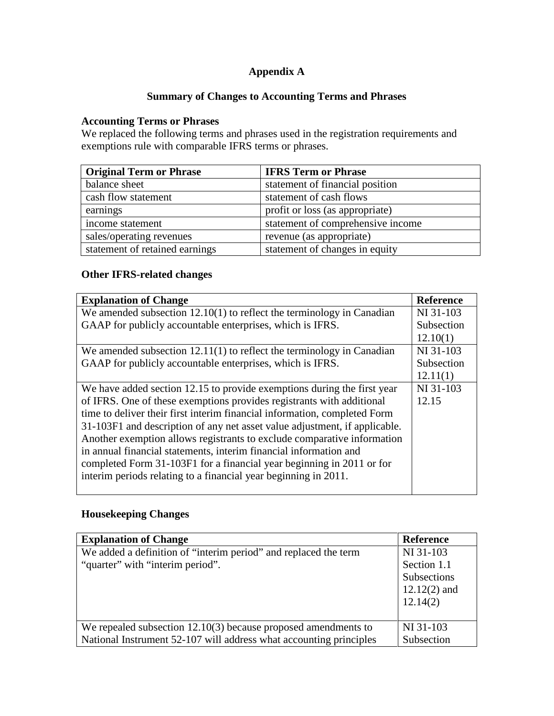# **Appendix A**

# **Summary of Changes to Accounting Terms and Phrases**

# **Accounting Terms or Phrases**

We replaced the following terms and phrases used in the registration requirements and exemptions rule with comparable IFRS terms or phrases.

| <b>Original Term or Phrase</b> | <b>IFRS Term or Phrase</b>        |
|--------------------------------|-----------------------------------|
| balance sheet                  | statement of financial position   |
| cash flow statement            | statement of cash flows           |
| earnings                       | profit or loss (as appropriate)   |
| income statement               | statement of comprehensive income |
| sales/operating revenues       | revenue (as appropriate)          |
| statement of retained earnings | statement of changes in equity    |

#### **Other IFRS-related changes**

| <b>Explanation of Change</b>                                               | <b>Reference</b> |
|----------------------------------------------------------------------------|------------------|
| We amended subsection $12.10(1)$ to reflect the terminology in Canadian    | NI 31-103        |
| GAAP for publicly accountable enterprises, which is IFRS.                  | Subsection       |
|                                                                            | 12.10(1)         |
| We amended subsection $12.11(1)$ to reflect the terminology in Canadian    | NI 31-103        |
| GAAP for publicly accountable enterprises, which is IFRS.                  | Subsection       |
|                                                                            | 12.11(1)         |
| We have added section 12.15 to provide exemptions during the first year    | NI 31-103        |
| of IFRS. One of these exemptions provides registrants with additional      | 12.15            |
| time to deliver their first interim financial information, completed Form  |                  |
| 31-103F1 and description of any net asset value adjustment, if applicable. |                  |
| Another exemption allows registrants to exclude comparative information    |                  |
| in annual financial statements, interim financial information and          |                  |
| completed Form 31-103F1 for a financial year beginning in 2011 or for      |                  |
| interim periods relating to a financial year beginning in 2011.            |                  |
|                                                                            |                  |

# **Housekeeping Changes**

| <b>Explanation of Change</b>                                       | <b>Reference</b> |
|--------------------------------------------------------------------|------------------|
| We added a definition of "interim period" and replaced the term    | NI 31-103        |
| "quarter" with "interim period".                                   | Section 1.1      |
|                                                                    | Subsections      |
|                                                                    | $12.12(2)$ and   |
|                                                                    | 12.14(2)         |
|                                                                    |                  |
| We repealed subsection $12.10(3)$ because proposed amendments to   | NI 31-103        |
| National Instrument 52-107 will address what accounting principles | Subsection       |